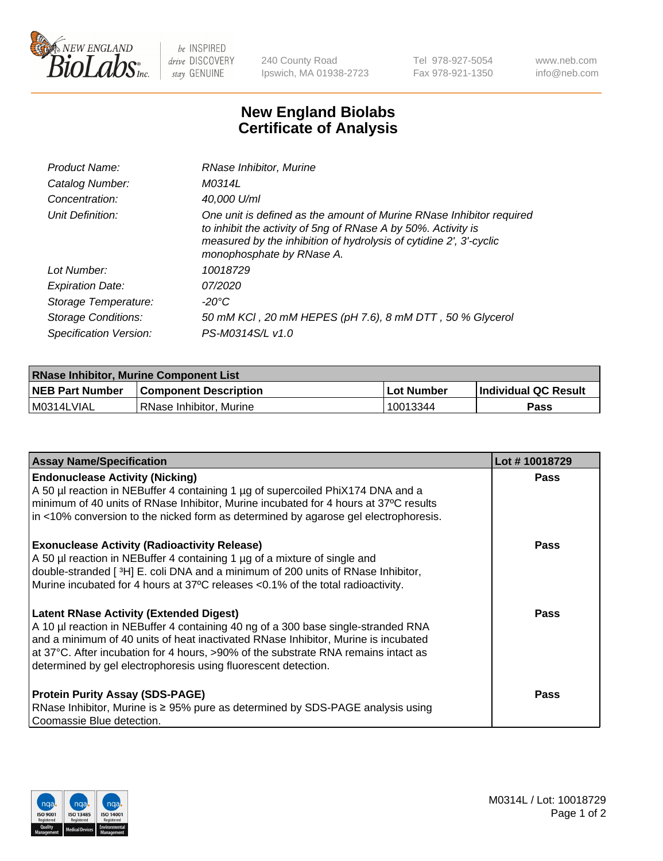

 $be$  INSPIRED drive DISCOVERY stay GENUINE

240 County Road Ipswich, MA 01938-2723 Tel 978-927-5054 Fax 978-921-1350 www.neb.com info@neb.com

## **New England Biolabs Certificate of Analysis**

| Product Name:              | RNase Inhibitor, Murine                                                                                                                                                                                                                  |
|----------------------------|------------------------------------------------------------------------------------------------------------------------------------------------------------------------------------------------------------------------------------------|
| Catalog Number:            | M0314L                                                                                                                                                                                                                                   |
| Concentration:             | 40,000 U/ml                                                                                                                                                                                                                              |
| Unit Definition:           | One unit is defined as the amount of Murine RNase Inhibitor required<br>to inhibit the activity of 5ng of RNase A by 50%. Activity is<br>measured by the inhibition of hydrolysis of cytidine 2', 3'-cyclic<br>monophosphate by RNase A. |
| Lot Number:                | 10018729                                                                                                                                                                                                                                 |
| <b>Expiration Date:</b>    | 07/2020                                                                                                                                                                                                                                  |
| Storage Temperature:       | -20°C                                                                                                                                                                                                                                    |
| <b>Storage Conditions:</b> | 50 mM KCl, 20 mM HEPES (pH 7.6), 8 mM DTT, 50 % Glycerol                                                                                                                                                                                 |
| Specification Version:     | PS-M0314S/L v1.0                                                                                                                                                                                                                         |

| <b>RNase Inhibitor, Murine Component List</b> |                              |                   |                             |  |
|-----------------------------------------------|------------------------------|-------------------|-----------------------------|--|
| <b>NEB Part Number</b>                        | <b>Component Description</b> | <b>Lot Number</b> | <b>Individual QC Result</b> |  |
| M0314LVIAL                                    | l RNase Inhibitor. Murine    | 10013344          | <b>Pass</b>                 |  |

| <b>Assay Name/Specification</b>                                                                                                                                                                                                                                                                                                                                                   | Lot #10018729 |
|-----------------------------------------------------------------------------------------------------------------------------------------------------------------------------------------------------------------------------------------------------------------------------------------------------------------------------------------------------------------------------------|---------------|
| <b>Endonuclease Activity (Nicking)</b><br>A 50 µl reaction in NEBuffer 4 containing 1 µg of supercoiled PhiX174 DNA and a<br>minimum of 40 units of RNase Inhibitor, Murine incubated for 4 hours at 37°C results<br>in <10% conversion to the nicked form as determined by agarose gel electrophoresis.                                                                          | <b>Pass</b>   |
| <b>Exonuclease Activity (Radioactivity Release)</b><br>A 50 µl reaction in NEBuffer 4 containing 1 µg of a mixture of single and<br>double-stranded [3H] E. coli DNA and a minimum of 200 units of RNase Inhibitor,<br>Murine incubated for 4 hours at 37°C releases <0.1% of the total radioactivity.                                                                            | <b>Pass</b>   |
| <b>Latent RNase Activity (Extended Digest)</b><br>A 10 µl reaction in NEBuffer 4 containing 40 ng of a 300 base single-stranded RNA<br>and a minimum of 40 units of heat inactivated RNase Inhibitor, Murine is incubated<br>at 37°C. After incubation for 4 hours, >90% of the substrate RNA remains intact as<br>determined by gel electrophoresis using fluorescent detection. | <b>Pass</b>   |
| <b>Protein Purity Assay (SDS-PAGE)</b><br>RNase Inhibitor, Murine is ≥ 95% pure as determined by SDS-PAGE analysis using<br>Coomassie Blue detection.                                                                                                                                                                                                                             | <b>Pass</b>   |